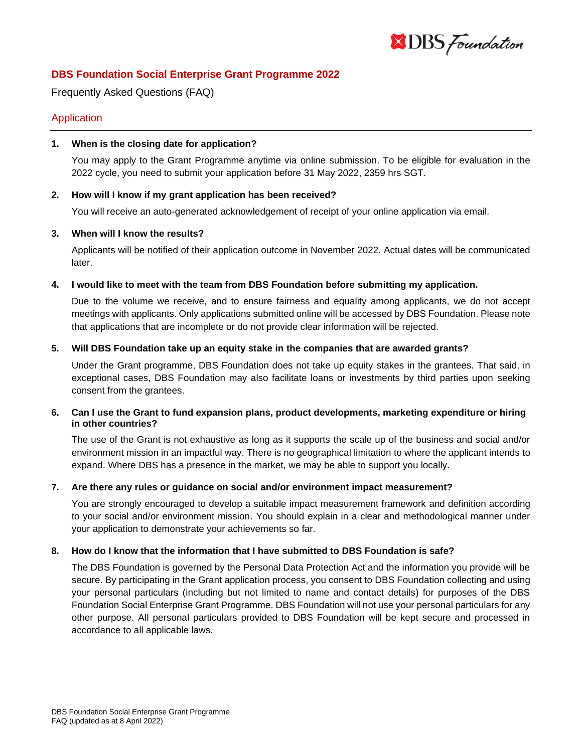

# **DBS Foundation Social Enterprise Grant Programme 2022**

Frequently Asked Questions (FAQ)

# Application

### **1. When is the closing date for application?**

You may apply to the Grant Programme anytime via online submission. To be eligible for evaluation in the 2022 cycle, you need to submit your application before 31 May 2022, 2359 hrs SGT.

### **2. How will I know if my grant application has been received?**

You will receive an auto-generated acknowledgement of receipt of your online application via email.

### **3. When will I know the results?**

Applicants will be notified of their application outcome in November 2022. Actual dates will be communicated later.

## **4. I would like to meet with the team from DBS Foundation before submitting my application.**

Due to the volume we receive, and to ensure fairness and equality among applicants, we do not accept meetings with applicants. Only applications submitted online will be accessed by DBS Foundation. Please note that applications that are incomplete or do not provide clear information will be rejected.

## **5. Will DBS Foundation take up an equity stake in the companies that are awarded grants?**

Under the Grant programme, DBS Foundation does not take up equity stakes in the grantees. That said, in exceptional cases, DBS Foundation may also facilitate loans or investments by third parties upon seeking consent from the grantees.

## **6. Can I use the Grant to fund expansion plans, product developments, marketing expenditure or hiring in other countries?**

The use of the Grant is not exhaustive as long as it supports the scale up of the business and social and/or environment mission in an impactful way. There is no geographical limitation to where the applicant intends to expand. Where DBS has a presence in the market, we may be able to support you locally.

### **7. Are there any rules or guidance on social and/or environment impact measurement?**

You are strongly encouraged to develop a suitable impact measurement framework and definition according to your social and/or environment mission. You should explain in a clear and methodological manner under your application to demonstrate your achievements so far.

### **8. How do I know that the information that I have submitted to DBS Foundation is safe?**

The DBS Foundation is governed by the Personal Data Protection Act and the information you provide will be secure. By participating in the Grant application process, you consent to DBS Foundation collecting and using your personal particulars (including but not limited to name and contact details) for purposes of the DBS Foundation Social Enterprise Grant Programme. DBS Foundation will not use your personal particulars for any other purpose. All personal particulars provided to DBS Foundation will be kept secure and processed in accordance to all applicable laws.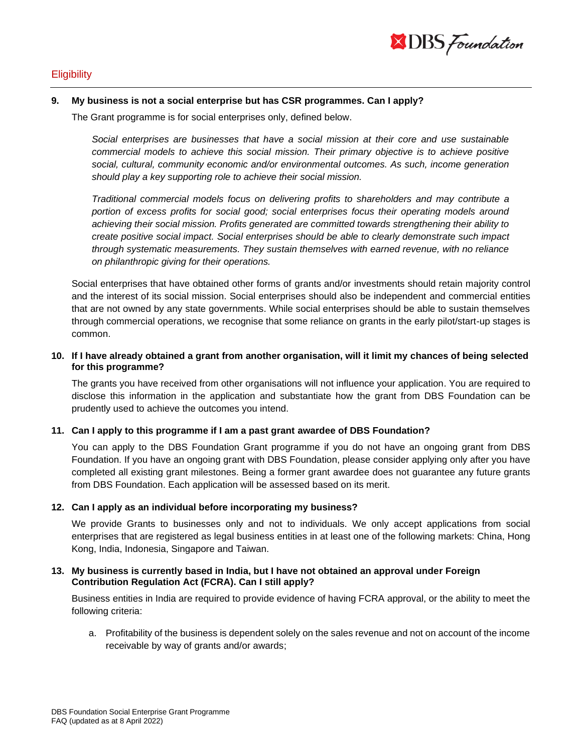

# **Eligibility**

#### **9. My business is not a social enterprise but has CSR programmes. Can I apply?**

The Grant programme is for social enterprises only, defined below.

*Social enterprises are businesses that have a social mission at their core and use sustainable commercial models to achieve this social mission. Their primary objective is to achieve positive social, cultural, community economic and/or environmental outcomes. As such, income generation should play a key supporting role to achieve their social mission.* 

*Traditional commercial models focus on delivering profits to shareholders and may contribute a portion of excess profits for social good; social enterprises focus their operating models around achieving their social mission. Profits generated are committed towards strengthening their ability to create positive social impact. Social enterprises should be able to clearly demonstrate such impact through systematic measurements. They sustain themselves with earned revenue, with no reliance on philanthropic giving for their operations.*

Social enterprises that have obtained other forms of grants and/or investments should retain majority control and the interest of its social mission. Social enterprises should also be independent and commercial entities that are not owned by any state governments. While social enterprises should be able to sustain themselves through commercial operations, we recognise that some reliance on grants in the early pilot/start-up stages is common.

### **10. If I have already obtained a grant from another organisation, will it limit my chances of being selected for this programme?**

The grants you have received from other organisations will not influence your application. You are required to disclose this information in the application and substantiate how the grant from DBS Foundation can be prudently used to achieve the outcomes you intend.

### **11. Can I apply to this programme if I am a past grant awardee of DBS Foundation?**

You can apply to the DBS Foundation Grant programme if you do not have an ongoing grant from DBS Foundation. If you have an ongoing grant with DBS Foundation, please consider applying only after you have completed all existing grant milestones. Being a former grant awardee does not guarantee any future grants from DBS Foundation. Each application will be assessed based on its merit.

### **12. Can I apply as an individual before incorporating my business?**

We provide Grants to businesses only and not to individuals. We only accept applications from social enterprises that are registered as legal business entities in at least one of the following markets: China, Hong Kong, India, Indonesia, Singapore and Taiwan.

## **13. My business is currently based in India, but I have not obtained an approval under Foreign Contribution Regulation Act (FCRA). Can I still apply?**

Business entities in India are required to provide evidence of having FCRA approval, or the ability to meet the following criteria:

a. Profitability of the business is dependent solely on the sales revenue and not on account of the income receivable by way of grants and/or awards;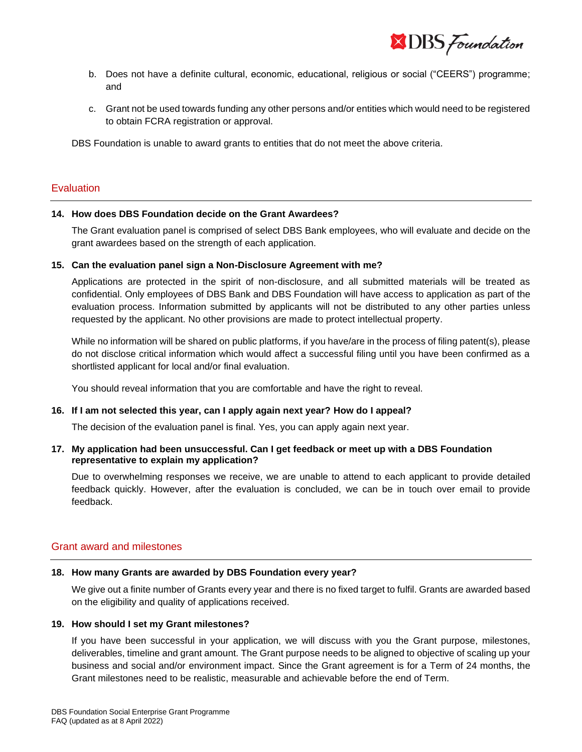**XDBS** Foundation

- b. Does not have a definite cultural, economic, educational, religious or social ("CEERS") programme; and
- c. Grant not be used towards funding any other persons and/or entities which would need to be registered to obtain FCRA registration or approval.

DBS Foundation is unable to award grants to entities that do not meet the above criteria.

## **Evaluation**

#### **14. How does DBS Foundation decide on the Grant Awardees?**

The Grant evaluation panel is comprised of select DBS Bank employees, who will evaluate and decide on the grant awardees based on the strength of each application.

#### **15. Can the evaluation panel sign a Non-Disclosure Agreement with me?**

Applications are protected in the spirit of non-disclosure, and all submitted materials will be treated as confidential. Only employees of DBS Bank and DBS Foundation will have access to application as part of the evaluation process. Information submitted by applicants will not be distributed to any other parties unless requested by the applicant. No other provisions are made to protect intellectual property.

While no information will be shared on public platforms, if you have/are in the process of filing patent(s), please do not disclose critical information which would affect a successful filing until you have been confirmed as a shortlisted applicant for local and/or final evaluation.

You should reveal information that you are comfortable and have the right to reveal.

### **16. If I am not selected this year, can I apply again next year? How do I appeal?**

The decision of the evaluation panel is final. Yes, you can apply again next year.

## **17. My application had been unsuccessful. Can I get feedback or meet up with a DBS Foundation representative to explain my application?**

Due to overwhelming responses we receive, we are unable to attend to each applicant to provide detailed feedback quickly. However, after the evaluation is concluded, we can be in touch over email to provide feedback.

### Grant award and milestones

### **18. How many Grants are awarded by DBS Foundation every year?**

We give out a finite number of Grants every year and there is no fixed target to fulfil. Grants are awarded based on the eligibility and quality of applications received.

### **19. How should I set my Grant milestones?**

If you have been successful in your application, we will discuss with you the Grant purpose, milestones, deliverables, timeline and grant amount. The Grant purpose needs to be aligned to objective of scaling up your business and social and/or environment impact. Since the Grant agreement is for a Term of 24 months, the Grant milestones need to be realistic, measurable and achievable before the end of Term.